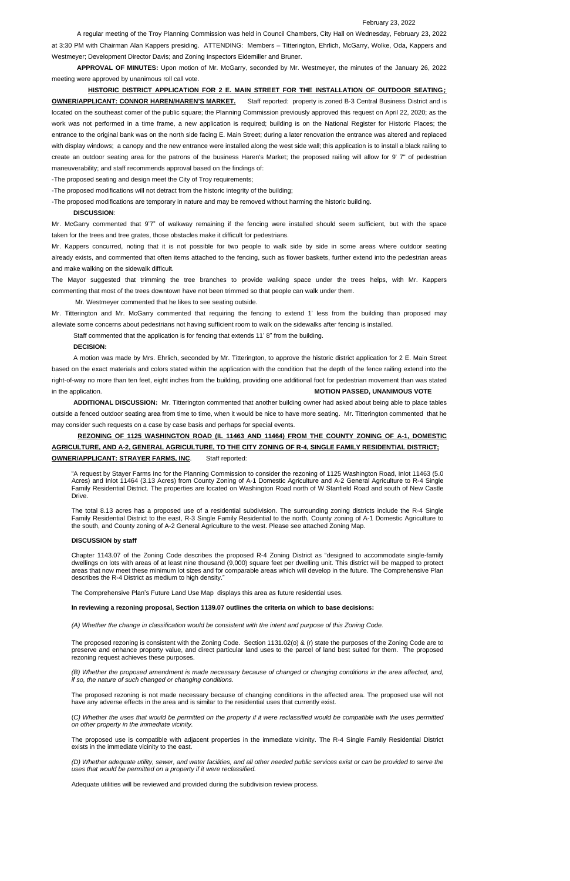### February 23, 2022

A regular meeting of the Troy Planning Commission was held in Council Chambers, City Hall on Wednesday, February 23, 2022 at 3:30 PM with Chairman Alan Kappers presiding. ATTENDING: Members – Titterington, Ehrlich, McGarry, Wolke, Oda, Kappers and Westmeyer; Development Director Davis; and Zoning Inspectors Eidemiller and Bruner.

**APPROVAL OF MINUTES:** Upon motion of Mr. McGarry, seconded by Mr. Westmeyer, the minutes of the January 26, 2022 meeting were approved by unanimous roll call vote.

**HISTORIC DISTRICT APPLICATION FOR 2 E. MAIN STREET FOR THE INSTALLATION OF OUTDOOR SEATING; OWNER/APPLICANT: CONNOR HAREN/HAREN'S MARKET.** Staff reported: property is zoned B-3 Central Business District and is located on the southeast comer of the public square; the Planning Commission previously approved this request on April 22, 2020; as the work was not performed in a time frame, a new application is required; building is on the National Register for Historic Places; the entrance to the original bank was on the north side facing E. Main Street; during a later renovation the entrance was altered and replaced with display windows; a canopy and the new entrance were installed along the west side wall; this application is to install a black railing to create an outdoor seating area for the patrons of the business Haren's Market; the proposed railing will allow for 9' 7" of pedestrian maneuverability; and staff recommends approval based on the findings of:

-The proposed seating and design meet the City of Troy requirements;

-The proposed modifications will not detract from the historic integrity of the building;

-The proposed modifications are temporary in nature and may be removed without harming the historic building.

#### **DISCUSSION**:

Mr. McGarry commented that 9'7" of walkway remaining if the fencing were installed should seem sufficient, but with the space taken for the trees and tree grates, those obstacles make it difficult for pedestrians.

Mr. Kappers concurred, noting that it is not possible for two people to walk side by side in some areas where outdoor seating already exists, and commented that often items attached to the fencing, such as flower baskets, further extend into the pedestrian areas and make walking on the sidewalk difficult.

The Mayor suggested that trimming the tree branches to provide walking space under the trees helps, with Mr. Kappers commenting that most of the trees downtown have not been trimmed so that people can walk under them.

Mr. Westmeyer commented that he likes to see seating outside.

Mr. Titterington and Mr. McGarry commented that requiring the fencing to extend 1' less from the building than proposed may alleviate some concerns about pedestrians not having sufficient room to walk on the sidewalks after fencing is installed.

Staff commented that the application is for fencing that extends 11' 8" from the building.

### **DECISION:**

(B) Whether the proposed amendment is made necessary because of changed or changing conditions in the area affected, and, *if so, the nature of such changed or changing conditions.* 

A motion was made by Mrs. Ehrlich, seconded by Mr. Titterington, to approve the historic district application for 2 E. Main Street based on the exact materials and colors stated within the application with the condition that the depth of the fence railing extend into the right-of-way no more than ten feet, eight inches from the building, providing one additional foot for pedestrian movement than was stated in the application. **MOTION PASSED, UNANIMOUS VOTE**

(C) Whether the uses that would be permitted on the property if it were reclassified would be compatible with the uses permitted *on other property in the immediate vicinity.*

(D) Whether adequate utility, sewer, and water facilities, and all other needed public services exist or can be provided to serve the *uses that would be permitted on a property if it were reclassified.*

**ADDITIONAL DISCUSSION:** Mr. Titterington commented that another building owner had asked about being able to place tables outside a fenced outdoor seating area from time to time, when it would be nice to have more seating. Mr. Titterington commented that he may consider such requests on a case by case basis and perhaps for special events.

# **REZONING OF 1125 WASHINGTON ROAD (IL 11463 AND 11464) FROM THE COUNTY ZONING OF A-1, DOMESTIC AGRICULTURE, AND A-2, GENERAL AGRICULTURE, TO THE CITY ZONING OF R-4, SINGLE FAMILY RESIDENTIAL DISTRICT; OWNER/APPLICANT: STRAYER FARMS, INC**. Staff reported:

"A request by Stayer Farms Inc for the Planning Commission to consider the rezoning of 1125 Washington Road, Inlot 11463 (5.0 Acres) and Inlot 11464 (3.13 Acres) from County Zoning of A-1 Domestic Agriculture and A-2 General Agriculture to R-4 Single Family Residential District. The properties are located on Washington Road north of W Stanfield Road and south of New Castle Drive.

The total 8.13 acres has a proposed use of a residential subdivision. The surrounding zoning districts include the R-4 Single Family Residential District to the east, R-3 Single Family Residential to the north, County zoning of A-1 Domestic Agriculture to the south, and County zoning of A-2 General Agriculture to the west. Please see attached Zoning Map.

### **DISCUSSION by staff**

Chapter 1143.07 of the Zoning Code describes the proposed R-4 Zoning District as "designed to accommodate single-family dwellings on lots with areas of at least nine thousand (9,000) square feet per dwelling unit. This district will be mapped to protect areas that now meet these minimum lot sizes and for comparable areas which will develop in the future. The Comprehensive Plan describes the R-4 District as medium to high density."

The Comprehensive Plan's Future Land Use Map displays this area as future residential uses.

**In reviewing a rezoning proposal, Section 1139.07 outlines the criteria on which to base decisions:**

*(A) Whether the change in classification would be consistent with the intent and purpose of this Zoning Code.*

The proposed rezoning is consistent with the Zoning Code. Section 1131.02(o) & (r) state the purposes of the Zoning Code are to

preserve and enhance property value, and direct particular land uses to the parcel of land best suited for them. The proposed rezoning request achieves these purposes.

The proposed rezoning is not made necessary because of changing conditions in the affected area. The proposed use will not have any adverse effects in the area and is similar to the residential uses that currently exist.

The proposed use is compatible with adjacent properties in the immediate vicinity. The R-4 Single Family Residential District exists in the immediate vicinity to the east.

Adequate utilities will be reviewed and provided during the subdivision review process.